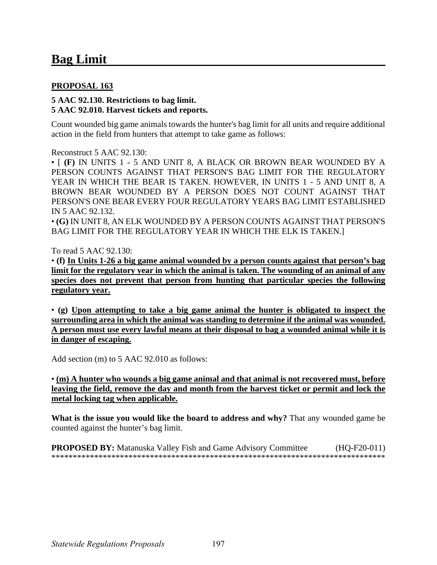# **Bag Limit**

### **PROPOSAL 163**

## **5 AAC 92.130. Restrictions to bag limit. 5 AAC 92.010. Harvest tickets and reports.**

Count wounded big game animals towards the hunter's bag limit for all units and require additional action in the field from hunters that attempt to take game as follows:

Reconstruct 5 AAC 92.130:

 Reconstruct 5 AAC 92.130: • [ **(F)** IN UNITS 1 - 5 AND UNIT 8, A BLACK OR BROWN BEAR WOUNDED BY A PERSON COUNTS AGAINST THAT PERSON'S BAG LIMIT FOR THE REGULATORY YEAR IN WHICH THE BEAR IS TAKEN. HOWEVER, IN UNITS 1 - 5 AND UNIT 8, A BROWN BEAR WOUNDED BY A PERSON DOES NOT COUNT AGAINST THAT PERSON'S ONE BEAR EVERY FOUR REGULATORY YEARS BAG LIMIT ESTABLISHED IN 5 AAC 92.132.

• **(G)** IN UNIT 8, AN ELK WOUNDED BY A PERSON COUNTS AGAINST THAT PERSON'S BAG LIMIT FOR THE REGULATORY YEAR IN WHICH THE ELK IS TAKEN.]

To read 5 AAC 92.130:

• (f) In Units 1-26 a big game animal wounded by a person counts against that person's bag **limit for the regulatory year in which the animal is taken. The wounding of an animal of any species does not prevent that person from hunting that particular species the following regulatory year.** 

• **(g) Upon attempting to take a big game animal the hunter is obligated to inspect the surrounding area in which the animal was standing to determine if the animal was wounded. A person must use every lawful means at their disposal to bag a wounded animal while it is in danger of escaping.** 

Add section (m) to 5 AAC 92.010 as follows:

• (m) A hunter who wounds a big game animal and that animal is not recovered must, before **leaving the field, remove the day and month from the harvest ticket or permit and lock the metal locking tag when applicable.** 

**What is the issue you would like the board to address and why?** That any wounded game be counted against the hunter's bag limit.

**PROPOSED BY:** Matanuska Valley Fish and Game Advisory Committee (HQ-F20-011) \*\*\*\*\*\*\*\*\*\*\*\*\*\*\*\*\*\*\*\*\*\*\*\*\*\*\*\*\*\*\*\*\*\*\*\*\*\*\*\*\*\*\*\*\*\*\*\*\*\*\*\*\*\*\*\*\*\*\*\*\*\*\*\*\*\*\*\*\*\*\*\*\*\*\*\*\*\*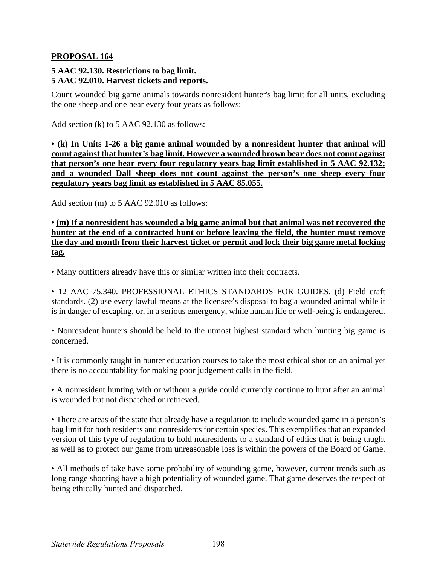### **PROPOSAL 164**

#### **5 AAC 92.130. Restrictions to bag limit. 5 AAC 92.010. Harvest tickets and reports.**

 the one sheep and one bear every four years as follows: Count wounded big game animals towards nonresident hunter's bag limit for all units, excluding

Add section (k) to 5 AAC 92.130 as follows:

**• (k) In Units 1-26 a big game animal wounded by a nonresident hunter that animal will count against that hunter's bag limit. However a wounded brown bear does not count against that person's one bear every four regulatory years bag limit established in 5 AAC 92.132; and a wounded Dall sheep does not count against the person's one sheep every four regulatory years bag limit as established in 5 AAC 85.055.** 

Add section (m) to 5 AAC 92.010 as follows:

 **the day and month from their harvest ticket or permit and lock their big game metal locking • (m) If a nonresident has wounded a big game animal but that animal was not recovered the hunter at the end of a contracted hunt or before leaving the field, the hunter must remove tag.** 

• Many outfitters already have this or similar written into their contracts.

• 12 AAC 75.340. PROFESSIONAL ETHICS STANDARDS FOR GUIDES. (d) Field craft standards. (2) use every lawful means at the licensee's disposal to bag a wounded animal while it is in danger of escaping, or, in a serious emergency, while human life or well-being is endangered.

• Nonresident hunters should be held to the utmost highest standard when hunting big game is concerned.

• It is commonly taught in hunter education courses to take the most ethical shot on an animal yet there is no accountability for making poor judgement calls in the field.

 • A nonresident hunting with or without a guide could currently continue to hunt after an animal is wounded but not dispatched or retrieved.

 • There are areas of the state that already have a regulation to include wounded game in a person's bag limit for both residents and nonresidents for certain species. This exemplifies that an expanded version of this type of regulation to hold nonresidents to a standard of ethics that is being taught as well as to protect our game from unreasonable loss is within the powers of the Board of Game.

• All methods of take have some probability of wounding game, however, current trends such as long range shooting have a high potentiality of wounded game. That game deserves the respect of being ethically hunted and dispatched.